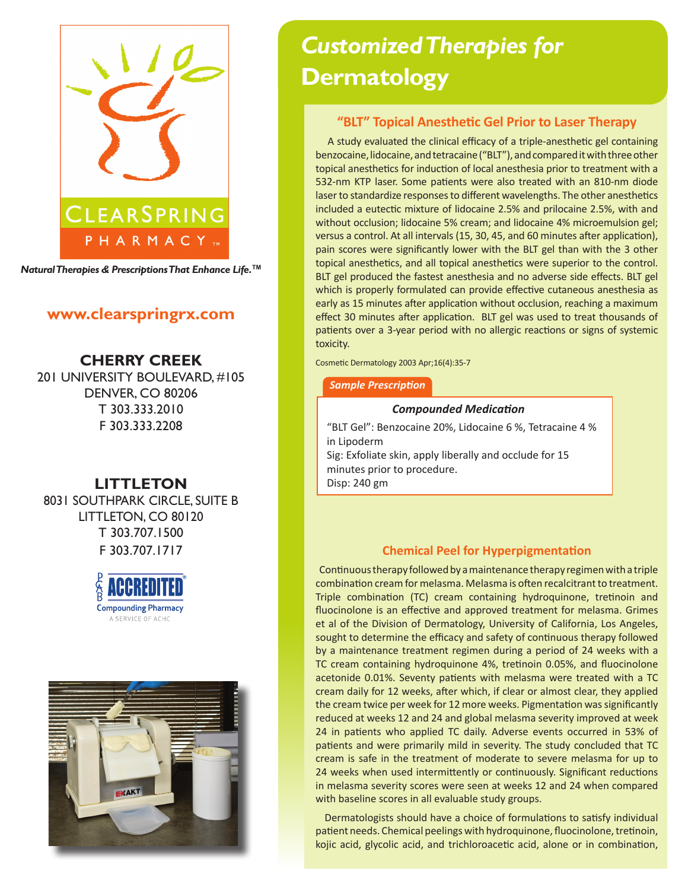

*Natural Therapies & Prescriptions That Enhance Life.***TM**

## **www.clearspringrx.com**

**CHERRY CREEK** 201 UNIVERSITY BOULEVARD, #105 DENVER, CO 80206 T 303.333.2010 F 303.333.2208

# **LITTLETON**

8031 SOUTHPARK CIRCLE, SUITE B LITTLETON, CO 80120 T 303.707.1500 F 303.707.1717





# *Customized Therapies for*  **Dermatology**

## **"BLT" Topical Anesthetic Gel Prior to Laser Therapy**

 A study evaluated the clinical efficacy of a triple-anesthetic gel containing benzocaine, lidocaine, and tetracaine ("BLT"), and compared it with three other topical anesthetics for induction of local anesthesia prior to treatment with a 532-nm KTP laser. Some patients were also treated with an 810-nm diode laser to standardize responses to different wavelengths. The other anesthetics included a eutectic mixture of lidocaine 2.5% and prilocaine 2.5%, with and without occlusion; lidocaine 5% cream; and lidocaine 4% microemulsion gel; versus a control. At all intervals (15, 30, 45, and 60 minutes after application), pain scores were significantly lower with the BLT gel than with the 3 other topical anesthetics, and all topical anesthetics were superior to the control. BLT gel produced the fastest anesthesia and no adverse side effects. BLT gel which is properly formulated can provide effective cutaneous anesthesia as early as 15 minutes after application without occlusion, reaching a maximum effect 30 minutes after application. BLT gel was used to treat thousands of patients over a 3-year period with no allergic reactions or signs of systemic toxicity.

Cosmetic Dermatology 2003 Apr;16(4):35-7

## *Sample Prescription*

## *Compounded Medication*

"BLT Gel": Benzocaine 20%, Lidocaine 6 %, Tetracaine 4 % in Lipoderm

Sig: Exfoliate skin, apply liberally and occlude for 15 minutes prior to procedure.

## Disp: 240 gm

## **Chemical Peel for Hyperpigmentation**

 Continuous therapy followed by a maintenance therapy regimen with a triple combination cream for melasma. Melasma is often recalcitrant to treatment. Triple combination (TC) cream containing hydroquinone, tretinoin and fluocinolone is an effective and approved treatment for melasma. Grimes et al of the Division of Dermatology, University of California, Los Angeles, sought to determine the efficacy and safety of continuous therapy followed by a maintenance treatment regimen during a period of 24 weeks with a TC cream containing hydroquinone 4%, tretinoin 0.05%, and fluocinolone acetonide 0.01%. Seventy patients with melasma were treated with a TC cream daily for 12 weeks, after which, if clear or almost clear, they applied the cream twice per week for 12 more weeks. Pigmentation was significantly reduced at weeks 12 and 24 and global melasma severity improved at week 24 in patients who applied TC daily. Adverse events occurred in 53% of patients and were primarily mild in severity. The study concluded that TC cream is safe in the treatment of moderate to severe melasma for up to 24 weeks when used intermittently or continuously. Significant reductions in melasma severity scores were seen at weeks 12 and 24 when compared with baseline scores in all evaluable study groups.

 Dermatologists should have a choice of formulations to satisfy individual patient needs. Chemical peelings with hydroquinone, fluocinolone, tretinoin, kojic acid, glycolic acid, and trichloroacetic acid, alone or in combination,